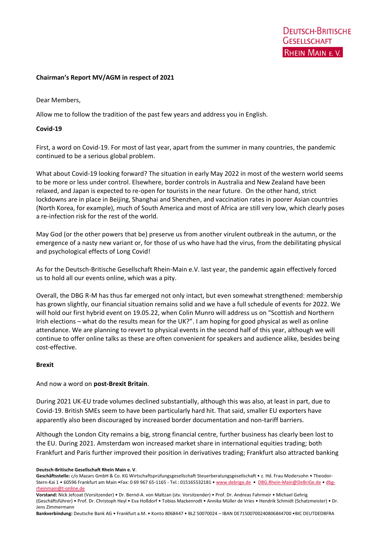## **Chairman's Report MV/AGM in respect of 2021**

#### Dear Members,

Allow me to follow the tradition of the past few years and address you in English.

#### **Covid-19**

First, a word on Covid-19. For most of last year, apart from the summer in many countries, the pandemic continued to be a serious global problem.

What about Covid-19 looking forward? The situation in early May 2022 in most of the western world seems to be more or less under control. Elsewhere, border controls in Australia and New Zealand have been relaxed, and Japan is expected to re-open for tourists in the near future. On the other hand, strict lockdowns are in place in Beijing, Shanghai and Shenzhen, and vaccination rates in poorer Asian countries (North Korea, for example), much of South America and most of Africa are still very low, which clearly poses a re-infection risk for the rest of the world.

May God (or the other powers that be) preserve us from another virulent outbreak in the autumn, or the emergence of a nasty new variant or, for those of us who have had the virus, from the debilitating physical and psychological effects of Long Covid!

As for the Deutsch-Britische Gesellschaft Rhein-Main e.V. last year, the pandemic again effectively forced us to hold all our events online, which was a pity.

Overall, the DBG R-M has thus far emerged not only intact, but even somewhat strengthened: membership has grown slightly, our financial situation remains solid and we have a full schedule of events for 2022. We will hold our first hybrid event on 19.05.22, when Colin Munro will address us on "Scottish and Northern Irish elections – what do the results mean for the UK?". I am hoping for good physical as well as online attendance. We are planning to revert to physical events in the second half of this year, although we will continue to offer online talks as these are often convenient for speakers and audience alike, besides being cost-effective.

#### **Brexit**

#### And now a word on **post-Brexit Britain**.

During 2021 UK-EU trade volumes declined substantially, although this was also, at least in part, due to Covid-19. British SMEs seem to have been particularly hard hit. That said, smaller EU exporters have apparently also been discouraged by increased border documentation and non-tariff barriers.

Although the London City remains a big, strong financial centre, further business has clearly been lost to the EU. During 2021. Amsterdam won increased market share in international equities trading; both Frankfurt and Paris further improved their position in derivatives trading; Frankfurt also attracted banking

**Deutsch-Britische Gesellschaft Rhein Main e. V**.

**Geschäftsstelle:** c/o Mazars GmbH & Co. KG Wirtschaftsprüfungsgesellschaft Steuerberatungsgesellschaft • z. Hd. Frau Modersohn • Theodor-Stern-Kai 1 • 60596 Frankfurt am Main •Fax: 0 69 967 65-1165 - Tel.: 015165532181 • [www.debrige.de](http://www.debrige.de/) • [DBG.Rhein-Main@DeBriGe.de](mailto:DBG.Rhein-Main@DeBriGe.de) • [dbg](mailto:dbg-rheinmain@t-online.de)[rheinmain@t-online.de](mailto:dbg-rheinmain@t-online.de)

**Vorstand:** Nick Jefcoat (Vorsitzender) • Dr. Bernd-A. von Maltzan (stv. Vorsitzender) • Prof. Dr. Andreas Fahrmeir • Michael Gehrig (Geschäftsführer) • Prof. Dr. Christoph Heyl • Eva Hoßdorf • Tobias Mackenrodt • Annika Müller de Vries • Hendrik Schmidt (Schatzmeister) • Dr. Jens Zimmermann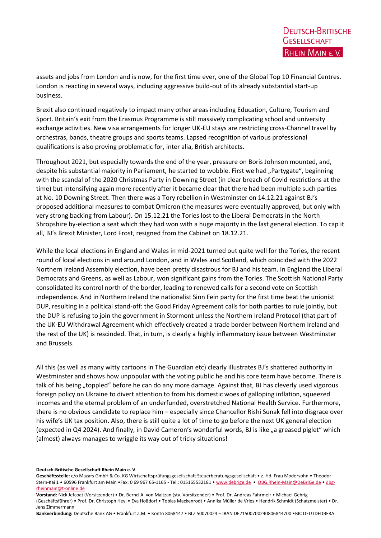assets and jobs from London and is now, for the first time ever, one of the Global Top 10 Financial Centres. London is reacting in several ways, including aggressive build-out of its already substantial start-up business.

Brexit also continued negatively to impact many other areas including Education, Culture, Tourism and Sport. Britain's exit from the Erasmus Programme is still massively complicating school and university exchange activities. New visa arrangements for longer UK-EU stays are restricting cross-Channel travel by orchestras, bands, theatre groups and sports teams. Lapsed recognition of various professional qualifications is also proving problematic for, inter alia, British architects.

Throughout 2021, but especially towards the end of the year, pressure on Boris Johnson mounted, and, despite his substantial majority in Parliament, he started to wobble. First we had "Partygate", beginning with the scandal of the 2020 Christmas Party in Downing Street (in clear breach of Covid restrictions at the time) but intensifying again more recently after it became clear that there had been multiple such parties at No. 10 Downing Street. Then there was a Tory rebellion in Westminster on 14.12.21 against BJ's proposed additional measures to combat Omicron (the measures were eventually approved, but only with very strong backing from Labour). On 15.12.21 the Tories lost to the Liberal Democrats in the North Shropshire by-election a seat which they had won with a huge majority in the last general election. To cap it all, BJ's Brexit Minister, Lord Frost, resigned from the Cabinet on 18.12.21.

While the local elections in England and Wales in mid-2021 turned out quite well for the Tories, the recent round of local elections in and around London, and in Wales and Scotland, which coincided with the 2022 Northern Ireland Assembly election, have been pretty disastrous for BJ and his team. In England the Liberal Democrats and Greens, as well as Labour, won significant gains from the Tories. The Scottish National Party consolidated its control north of the border, leading to renewed calls for a second vote on Scottish independence. And in Northern Ireland the nationalist Sinn Fein party for the first time beat the unionist DUP, resulting in a political stand-off: the Good Friday Agreement calls for both parties to rule jointly, but the DUP is refusing to join the government in Stormont unless the Northern Ireland Protocol (that part of the UK-EU Withdrawal Agreement which effectively created a trade border between Northern Ireland and the rest of the UK) is rescinded. That, in turn, is clearly a highly inflammatory issue between Westminster and Brussels.

All this (as well as many witty cartoons in The Guardian etc) clearly illustrates BJ's shattered authority in Westminster and shows how unpopular with the voting public he and his core team have become. There is talk of his being "toppled" before he can do any more damage. Against that, BJ has cleverly used vigorous foreign policy on Ukraine to divert attention to from his domestic woes of galloping inflation, squeezed incomes and the eternal problem of an underfunded, overstretched National Health Service. Furthermore, there is no obvious candidate to replace him – especially since Chancellor Rishi Sunak fell into disgrace over his wife's UK tax position. Also, there is still quite a lot of time to go before the next UK general election (expected in Q4 2024). And finally, in David Cameron's wonderful words, BJ is like "a greased piglet" which (almost) always manages to wriggle its way out of tricky situations!

#### **Deutsch-Britische Gesellschaft Rhein Main e. V**.

Geschäftsstelle: c/o Mazars GmbH & Co. KG Wirtschaftsprüfungsgesellschaft Steuerberatungsgesellschaft • z. Hd. Frau Modersohn • Theodor-Stern-Kai 1 • 60596 Frankfurt am Main •Fax: 0 69 967 65-1165 - Tel.: 015165532181 • [www.debrige.de](http://www.debrige.de/) • [DBG.Rhein-Main@DeBriGe.de](mailto:DBG.Rhein-Main@DeBriGe.de) • [dbg](mailto:dbg-rheinmain@t-online.de)[rheinmain@t-online.de](mailto:dbg-rheinmain@t-online.de)

**Vorstand:** Nick Jefcoat (Vorsitzender) • Dr. Bernd-A. von Maltzan (stv. Vorsitzender) • Prof. Dr. Andreas Fahrmeir • Michael Gehrig (Geschäftsführer) • Prof. Dr. Christoph Heyl • Eva Hoßdorf • Tobias Mackenrodt • Annika Müller de Vries • Hendrik Schmidt (Schatzmeister) • Dr. Jens Zimmermann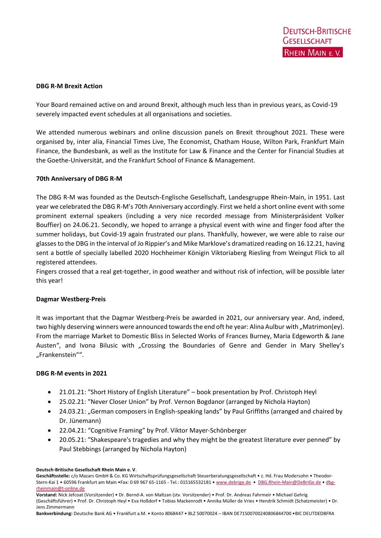## **DBG R-M Brexit Action**

Your Board remained active on and around Brexit, although much less than in previous years, as Covid-19 severely impacted event schedules at all organisations and societies.

We attended numerous webinars and online discussion panels on Brexit throughout 2021. These were organised by, inter alia, Financial Times Live, The Economist, Chatham House, Wilton Park, Frankfurt Main Finance, the Bundesbank, as well as the Institute for Law & Finance and the Center for Financial Studies at the Goethe-Universität, and the Frankfurt School of Finance & Management.

## **70th Anniversary of DBG R-M**

The DBG R-M was founded as the Deutsch-Englische Gesellschaft, Landesgruppe Rhein-Main, in 1951. Last year we celebrated the DBG R-M's 70th Anniversary accordingly. First we held a short online event with some prominent external speakers (including a very nice recorded message from Ministerpräsident Volker Bouffier) on 24.06.21. Secondly, we hoped to arrange a physical event with wine and finger food after the summer holidays, but Covid-19 again frustrated our plans. Thankfully, however, we were able to raise our glassesto the DBG in the interval of Jo Rippier's and Mike Marklove's dramatized reading on 16.12.21, having sent a bottle of specially labelled 2020 Hochheimer Königin Viktoriaberg Riesling from Weingut Flick to all registered attendees.

Fingers crossed that a real get-together, in good weather and without risk of infection, will be possible later this year!

#### **Dagmar Westberg-Preis**

It was important that the Dagmar Westberg-Preis be awarded in 2021, our anniversary year. And, indeed, two highly deserving winners were announced towards the end oft he year: Alina Aulbur with "Matrimon(ey). From the marriage Market to Domestic Bliss in Selected Works of Frances Burney, Maria Edgeworth & Jane Austen", and Ivona Bilusic with "Crossing the Boundaries of Genre and Gender in Mary Shelley's "Frankenstein"".

## **DBG R-M events in 2021**

- 21.01.21: ″Short History of English Literature" book presentation by Prof. Christoph Heyl
- 25.02.21: ″Never Closer Union" by Prof. Vernon Bogdanor (arranged by Nichola Hayton)
- 24.03.21: "German composers in English-speaking lands" by Paul Griffiths (arranged and chaired by Dr. Jünemann)
- 22.04.21: "Cognitive Framing" by Prof. Viktor Mayer-Schönberger
- 20.05.21: ″Shakespeare's tragedies and why they might be the greatest literature ever penned" by Paul Stebbings (arranged by Nichola Hayton)

**Deutsch-Britische Gesellschaft Rhein Main e. V**.

Geschäftsstelle: c/o Mazars GmbH & Co. KG Wirtschaftsprüfungsgesellschaft Steuerberatungsgesellschaft • z. Hd. Frau Modersohn • Theodor-Stern-Kai 1 • 60596 Frankfurt am Main •Fax: 0 69 967 65-1165 - Tel.: 015165532181 • [www.debrige.de](http://www.debrige.de/) • [DBG.Rhein-Main@DeBriGe.de](mailto:DBG.Rhein-Main@DeBriGe.de) • [dbg](mailto:dbg-rheinmain@t-online.de)[rheinmain@t-online.de](mailto:dbg-rheinmain@t-online.de)

**Vorstand:** Nick Jefcoat (Vorsitzender) • Dr. Bernd-A. von Maltzan (stv. Vorsitzender) • Prof. Dr. Andreas Fahrmeir • Michael Gehrig (Geschäftsführer) • Prof. Dr. Christoph Heyl • Eva Hoßdorf • Tobias Mackenrodt • Annika Müller de Vries • Hendrik Schmidt (Schatzmeister) • Dr. Jens Zimmermann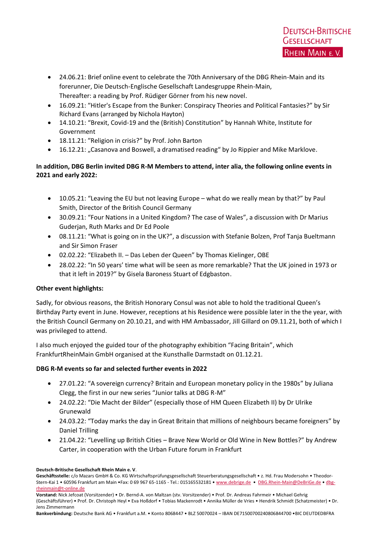- 24.06.21: Brief online event to celebrate the 70th Anniversary of the DBG Rhein-Main and its forerunner, Die Deutsch-Englische Gesellschaft Landesgruppe Rhein-Main, Thereafter: a reading by Prof. Rüdiger Görner from his new novel.
- 16.09.21: ″Hitler's Escape from the Bunker: Conspiracy Theories and Political Fantasies?" by Sir Richard Evans (arranged by Nichola Hayton)
- 14.10.21: "Brexit, Covid-19 and the (British) Constitution" by Hannah White, Institute for Government
- 18.11.21: ″Religion in crisis?" by Prof. John Barton
- 16.12.21: "Casanova and Boswell, a dramatised reading" by Jo Rippier and Mike Marklove.

# **In addition, DBG Berlin invited DBG R-M Members to attend, inter alia, the following online events in 2021 and early 2022:**

- 10.05.21: "Leaving the EU but not leaving Europe what do we really mean by that?" by Paul Smith, Director of the British Council Germany
- 30.09.21: "Four Nations in a United Kingdom? The case of Wales", a discussion with Dr Marius Guderjan, Ruth Marks and Dr Ed Poole
- 08.11.21: "What is going on in the UK?", a discussion with Stefanie Bolzen, Prof Tanja Bueltmann and Sir Simon Fraser
- 02.02.22: "Elizabeth II. Das Leben der Queen" by Thomas Kielinger, OBE
- 28.02.22: "In 50 years' time what will be seen as more remarkable? That the UK joined in 1973 or that it left in 2019?" by Gisela Baroness Stuart of Edgbaston.

# **Other event highlights:**

Sadly, for obvious reasons, the British Honorary Consul was not able to hold the traditional Queen's Birthday Party event in June. However, receptions at his Residence were possible later in the the year, with the British Council Germany on 20.10.21, and with HM Ambassador, Jill Gillard on 09.11.21, both of which I was privileged to attend.

I also much enjoyed the guided tour of the photography exhibition "Facing Britain", which FrankfurtRheinMain GmbH organised at the Kunsthalle Darmstadt on 01.12.21.

# **DBG R-M events so far and selected further events in 2022**

- 27.01.22: "A sovereign currency? Britain and European monetary policy in the 1980s" by Juliana Clegg, the first in our new series "Junior talks at DBG R-M"
- 24.02.22: "Die Macht der Bilder" (especially those of HM Queen Elizabeth II) by Dr Ulrike Grunewald
- 24.03.22: "Today marks the day in Great Britain that millions of neighbours became foreigners" by Daniel Trilling
- 21.04.22: "Levelling up British Cities Brave New World or Old Wine in New Bottles?" by Andrew Carter, in cooperation with the Urban Future forum in Frankfurt

**Deutsch-Britische Gesellschaft Rhein Main e. V**.

Geschäftsstelle: c/o Mazars GmbH & Co. KG Wirtschaftsprüfungsgesellschaft Steuerberatungsgesellschaft • z. Hd. Frau Modersohn • Theodor-Stern-Kai 1 • 60596 Frankfurt am Main •Fax: 0 69 967 65-1165 - Tel.: 015165532181 • [www.debrige.de](http://www.debrige.de/) • [DBG.Rhein-Main@DeBriGe.de](mailto:DBG.Rhein-Main@DeBriGe.de) • [dbg](mailto:dbg-rheinmain@t-online.de)[rheinmain@t-online.de](mailto:dbg-rheinmain@t-online.de)

**Vorstand:** Nick Jefcoat (Vorsitzender) • Dr. Bernd-A. von Maltzan (stv. Vorsitzender) • Prof. Dr. Andreas Fahrmeir • Michael Gehrig (Geschäftsführer) • Prof. Dr. Christoph Heyl • Eva Hoßdorf • Tobias Mackenrodt • Annika Müller de Vries • Hendrik Schmidt (Schatzmeister) • Dr. Jens Zimmermann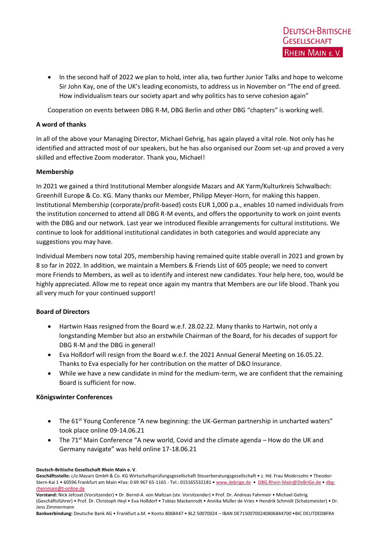• In the second half of 2022 we plan to hold, inter alia, two further Junior Talks and hope to welcome Sir John Kay, one of the UK's leading economists, to address us in November on "The end of greed. How individualism tears our society apart and why politics has to serve cohesion again"

Cooperation on events between DBG R-M, DBG Berlin and other DBG "chapters" is working well.

## **A word of thanks**

In all of the above your Managing Director, Michael Gehrig, has again played a vital role. Not only has he identified and attracted most of our speakers, but he has also organised our Zoom set-up and proved a very skilled and effective Zoom moderator. Thank you, Michael!

## **Membership**

In 2021 we gained a third Institutional Member alongside Mazars and AK Yarm/Kulturkreis Schwalbach: Greenhill Europe & Co. KG. Many thanks our Member, Philipp Meyer-Horn, for making this happen. Institutional Membership (corporate/profit-based) costs EUR 1,000 p.a., enables 10 named individuals from the institution concerned to attend all DBG R-M events, and offers the opportunity to work on joint events with the DBG and our network. Last year we introduced flexible arrangements for cultural institutions. We continue to look for additional institutional candidates in both categories and would appreciate any suggestions you may have.

Individual Members now total 205, membership having remained quite stable overall in 2021 and grown by 8 so far in 2022. In addition, we maintain a Members & Friends List of 605 people; we need to convert more Friends to Members, as well as to identify and interest new candidates. Your help here, too, would be highly appreciated. Allow me to repeat once again my mantra that Members are our life blood. Thank you all very much for your continued support!

# **Board of Directors**

- Hartwin Haas resigned from the Board w.e.f. 28.02.22. Many thanks to Hartwin, not only a longstanding Member but also an erstwhile Chairman of the Board, for his decades of support for DBG R-M and the DBG in general!
- Eva Hoßdorf will resign from the Board w.e.f. the 2021 Annual General Meeting on 16.05.22. Thanks to Eva especially for her contribution on the matter of D&O Insurance.
- While we have a new candidate in mind for the medium-term, we are confident that the remaining Board is sufficient for now.

## **Königswinter Conferences**

- The 61<sup>st</sup> Young Conference "A new beginning: the UK-German partnership in uncharted waters" took place online 09-14.06.21
- The  $71^{st}$  Main Conference "A new world, Covid and the climate agenda How do the UK and Germany navigate" was held online 17-18.06.21

**Deutsch-Britische Gesellschaft Rhein Main e. V**.

Geschäftsstelle: c/o Mazars GmbH & Co. KG Wirtschaftsprüfungsgesellschaft Steuerberatungsgesellschaft • z. Hd. Frau Modersohn • TheodorStern-Kai 1 • 60596 Frankfurt am Main •Fax: 0 69 967 65-1165 - Tel.: 015165532181 • [www.debrige.de](http://www.debrige.de/) • [DBG.Rhein-Main@DeBriGe.de](mailto:DBG.Rhein-Main@DeBriGe.de) • [dbg](mailto:dbg-rheinmain@t-online.de)[rheinmain@t-online.de](mailto:dbg-rheinmain@t-online.de)

**Vorstand:** Nick Jefcoat (Vorsitzender) • Dr. Bernd-A. von Maltzan (stv. Vorsitzender) • Prof. Dr. Andreas Fahrmeir • Michael Gehrig (Geschäftsführer) • Prof. Dr. Christoph Heyl • Eva Hoßdorf • Tobias Mackenrodt • Annika Müller de Vries • Hendrik Schmidt (Schatzmeister) • Dr. Jens Zimmermann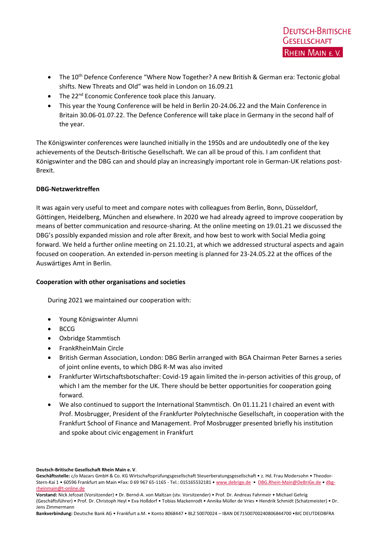- The 10<sup>th</sup> Defence Conference "Where Now Together? A new British & German era: Tectonic global shifts. New Threats and Old" was held in London on 16.09.21
- The 22<sup>nd</sup> Economic Conference took place this January.
- This year the Young Conference will be held in Berlin 20-24.06.22 and the Main Conference in Britain 30.06-01.07.22. The Defence Conference will take place in Germany in the second half of the year.

The Königswinter conferences were launched initially in the 1950s and are undoubtedly one of the key achievements of the Deutsch-Britische Gesellschaft. We can all be proud of this. I am confident that Königswinter and the DBG can and should play an increasingly important role in German-UK relations post-Brexit.

# **DBG-Netzwerktreffen**

It was again very useful to meet and compare notes with colleagues from Berlin, Bonn, Düsseldorf, Göttingen, Heidelberg, München and elsewhere. In 2020 we had already agreed to improve cooperation by means of better communication and resource-sharing. At the online meeting on 19.01.21 we discussed the DBG's possibly expanded mission and role after Brexit, and how best to work with Social Media going forward. We held a further online meeting on 21.10.21, at which we addressed structural aspects and again focused on cooperation. An extended in-person meeting is planned for 23-24.05.22 at the offices of the Auswärtiges Amt in Berlin.

# **Cooperation with other organisations and societies**

During 2021 we maintained our cooperation with:

- Young Königswinter Alumni
- BCCG
- Oxbridge Stammtisch
- FrankRheinMain Circle
- British German Association, London: DBG Berlin arranged with BGA Chairman Peter Barnes a series of joint online events, to which DBG R-M was also invited
- Frankfurter Wirtschaftsbotschafter: Covid-19 again limited the in-person activities of this group, of which I am the member for the UK. There should be better opportunities for cooperation going forward.
- We also continued to support the International Stammtisch. On 01.11.21 I chaired an event with Prof. Mosbrugger, President of the Frankfurter Polytechnische Gesellschaft, in cooperation with the Frankfurt School of Finance and Management. Prof Mosbrugger presented briefly his institution and spoke about civic engagement in Frankfurt

**Deutsch-Britische Gesellschaft Rhein Main e. V**.

Geschäftsstelle: c/o Mazars GmbH & Co. KG Wirtschaftsprüfungsgesellschaft Steuerberatungsgesellschaft • z. Hd. Frau Modersohn • Theodor-Stern-Kai 1 • 60596 Frankfurt am Main •Fax: 0 69 967 65-1165 - Tel.: 015165532181 • [www.debrige.de](http://www.debrige.de/) • [DBG.Rhein-Main@DeBriGe.de](mailto:DBG.Rhein-Main@DeBriGe.de) • [dbg](mailto:dbg-rheinmain@t-online.de)[rheinmain@t-online.de](mailto:dbg-rheinmain@t-online.de)

**Vorstand:** Nick Jefcoat (Vorsitzender) • Dr. Bernd-A. von Maltzan (stv. Vorsitzender) • Prof. Dr. Andreas Fahrmeir • Michael Gehrig (Geschäftsführer) • Prof. Dr. Christoph Heyl • Eva Hoßdorf • Tobias Mackenrodt • Annika Müller de Vries • Hendrik Schmidt (Schatzmeister) • Dr. Jens Zimmermann